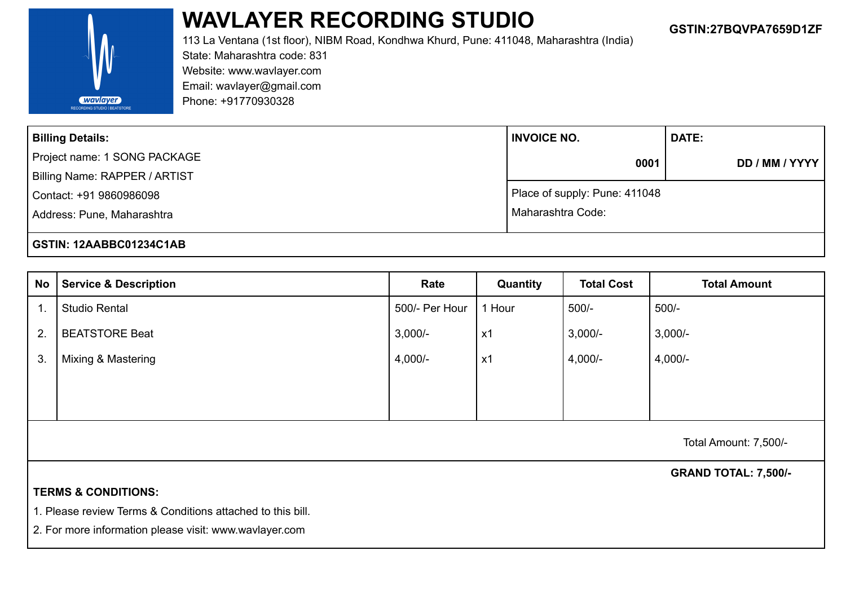

## **WAVLAYER RECORDING STUDIO GSTIN:27BQVPA7659D1ZF**

113 La Ventana (1st floor), NIBM Road, Kondhwa Khurd, Pune: 411048, Maharashtra (India) State: Maharashtra code: 831 Website: www.wavlayer.com Email: [wavlayer@gmail.com](mailto:wavlayer@gmail.com) Phone: +91770930328

| <b>Billing Details:</b>       | <b>INVOICE NO.</b>            | <b>DATE:</b>   |  |  |
|-------------------------------|-------------------------------|----------------|--|--|
| Project name: 1 SONG PACKAGE  | 0001                          | DD / MM / YYYY |  |  |
| Billing Name: RAPPER / ARTIST |                               |                |  |  |
| Contact: +91 9860986098       | Place of supply: Pune: 411048 |                |  |  |
| Address: Pune, Maharashtra    | l Maharashtra Code:           |                |  |  |
| GSTIN: 12AABBC01234C1AB       |                               |                |  |  |

| No | <b>Service &amp; Description</b> | Rate           | Quantity       | <b>Total Cost</b> | <b>Total Amount</b> |
|----|----------------------------------|----------------|----------------|-------------------|---------------------|
|    | <b>Studio Rental</b>             | 500/- Per Hour | 1 Hour         | $500/-$           | $500/-$             |
| 2. | <b>BEATSTORE Beat</b>            | $3,000/-$      | x1             | $3,000/-$         | $3,000/-$           |
| 3. | Mixing & Mastering               | $4,000/-$      | x <sub>1</sub> | $4,000/-$         | $4,000/-$           |
|    |                                  |                |                |                   |                     |
|    |                                  |                |                |                   |                     |

Total Amount: 7,500/-

**GRAND TOTAL: 7,500/-**

## **TERMS & CONDITIONS:**

1. Please review Terms & Conditions attached to this bill.

2. For more information please visit: www.wavlayer.com